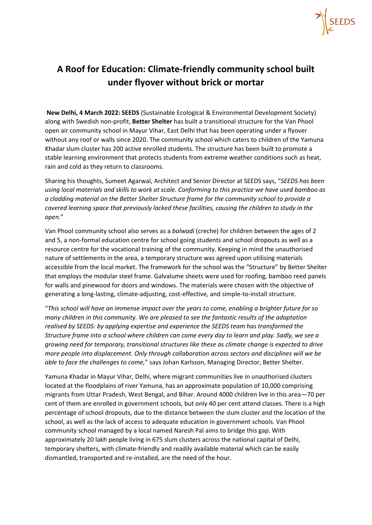

## **A Roof for Education: Climate-friendly community school built under flyover without brick or mortar**

**New Delhi, 4 March 2022: SEEDS** (Sustainable Ecological & Environmental Development Society) along with Swedish non-profit, **Better Shelter** has built a transitional structure for the Van Phool open air community school in Mayur Vihar, East Delhi that has been operating under a flyover without any roof or walls since 2020. The community school which caters to children of the Yamuna Khadar slum cluster has 200 active enrolled students. The structure has been built to promote a stable learning environment that protects students from extreme weather conditions such as heat, rain and cold as they return to classrooms.

Sharing his thoughts, Sumeet Agarwal, Architect and Senior Director at SEEDS says, "*SEEDS has been using local materials and skills to work at scale. Conforming to this practice we have used bamboo as a cladding material on the Better Shelter Structure frame for the community school to provide a covered learning space that previously lacked these facilities, causing the children to study in the open.*"

Van Phool community school also serves as a *balwadi* (creche) for children between the ages of 2 and 5, a non-formal education centre for school going students and school dropouts as well as a resource centre for the vocational training of the community. Keeping in mind the unauthorised nature of settlements in the area, a temporary structure was agreed upon utilising materials accessible from the local market. The framework for the school was the "Structure" by Better Shelter that employs the modular steel frame. Galvalume sheets were used for roofing, bamboo reed panels for walls and pinewood for doors and windows. The materials were chosen with the objective of generating a long-lasting, climate-adjusting, cost-effective, and simple-to-install structure.

"*This school will have an immense impact over the years to come, enabling a brighter future for so many children in this community. We are pleased to see the fantastic results of the adaptation realised by SEEDS: by applying expertise and experience the SEEDS team has transformed the Structure frame into a school where children can come every day to learn and play. Sadly, we see a growing need for temporary, transitional structures like these as climate change is expected to drive more people into displacement. Only through collaboration across sectors and disciplines will we be able to face the challenges to come,*" says Johan Karlsson, Managing Director, Better Shelter.

Yamuna Khadar in Mayur Vihar, Delhi, where migrant communities live in unauthorised clusters located at the floodplains of river Yamuna, has an approximate population of 10,000 comprising migrants from Uttar Pradesh, West Bengal, and Bihar. Around 4000 children live in this area—70 per cent of them are enrolled in government schools, but only 40 per cent attend classes. There is a high percentage of school dropouts, due to the distance between the slum cluster and the location of the school, as well as the lack of access to adequate education in government schools. Van Phool community school managed by a local named Naresh Pal aims to bridge this gap. With approximately 20 lakh people living in 675 slum clusters across the national capital of Delhi, temporary shelters, with climate-friendly and readily available material which can be easily dismantled, transported and re-installed, are the need of the hour.